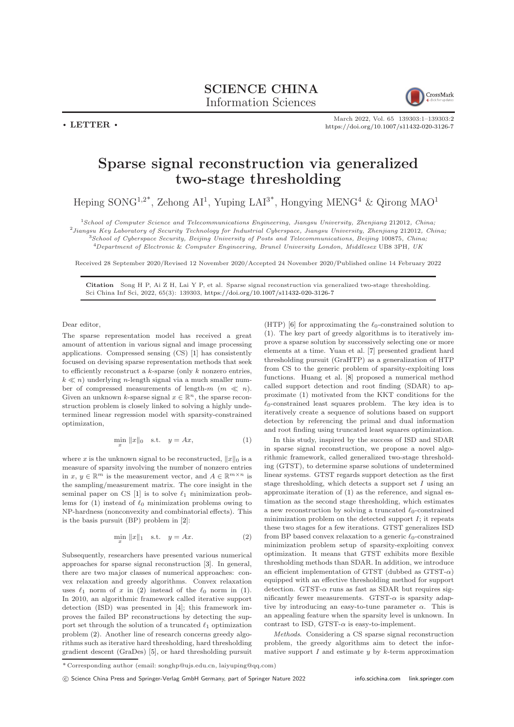

March 2022, Vol. 65 139303:1–139303[:2](#page-1-0) <https://doi.org/10.1007/s11432-020-3126-7>

## Sparse signal reconstruction via generalized two-stage thresholding

Heping SONG<sup>1,2\*</sup>, Zehong AI<sup>1</sup>, Yuping LAI<sup>3\*</sup>, Hongying MENG<sup>4</sup> & Qirong MAO<sup>1</sup>

<sup>1</sup>School of Computer Science and Telecommunications Engineering, Jiangsu University, Zhenjiang 212012, China;  $^{2}$ Jiangsu Key Laboratory of Security Technology for Industrial Cyberspace, Jiangsu University, Zhenjiang 212012, China; <sup>3</sup>School of Cyberspace Security, Beijing University of Posts and Telecommunications, Beijing 100875, China;

<sup>4</sup>Department of Electronic & Computer Engineering, Brunel University London, Middlesex UB8 3PH, UK

Received 28 September 2020/Revised 12 November 2020/Accepted 24 November 2020/Published online 14 February 2022

Citation Song H P, Ai Z H, Lai Y P, et al. Sparse signal reconstruction via generalized two-stage thresholding. Sci China Inf Sci, 2022, 65(3): 139303, <https://doi.org/10.1007/s11432-020-3126-7>

Dear editor,

 $\cdot$  LETTER  $\cdot$ 

The sparse representation model has received a great amount of attention in various signal and image processing applications. Compressed sensing (CS) [\[1\]](#page-1-1) has consistently focused on devising sparse representation methods that seek to efficiently reconstruct a  $k$ -sparse (only  $k$  nonzero entries,  $k \ll n$ ) underlying *n*-length signal via a much smaller number of compressed measurements of length-m  $(m \ll n)$ . Given an unknown k-sparse signal  $x \in \mathbb{R}^n$ , the sparse reconstruction problem is closely linked to solving a highly undetermined linear regression model with sparsity-constrained optimization,

<span id="page-0-0"></span>
$$
\min_{x} \|x\|_{0} \quad \text{s.t.} \quad y = Ax,\tag{1}
$$

where x is the unknown signal to be reconstructed,  $||x||_0$  is a measure of sparsity involving the number of nonzero entries in  $x, y \in \mathbb{R}^m$  is the measurement vector, and  $A \in \mathbb{R}^{m \times n}$  is the sampling/measurement matrix. The core insight in the seminal paper on CS [\[1\]](#page-1-1) is to solve  $\ell_1$  minimization prob-lems for [\(1\)](#page-0-0) instead of  $\ell_0$  minimization problems owing to NP-hardness (nonconvexity and combinatorial effects). This is the basis pursuit (BP) problem in [\[2\]](#page-1-2):

<span id="page-0-1"></span>
$$
\min_{x} \|x\|_1 \quad \text{s.t.} \quad y = Ax. \tag{2}
$$

Subsequently, researchers have presented various numerical approaches for sparse signal reconstruction [\[3\]](#page-1-3). In general, there are two major classes of numerical approaches: convex relaxation and greedy algorithms. Convex relaxation uses  $\ell_1$  norm of x in [\(2\)](#page-0-1) instead of the  $\ell_0$  norm in [\(1\)](#page-0-0). In 2010, an algorithmic framework called iterative support detection (ISD) was presented in [\[4\]](#page-1-4); this framework improves the failed BP reconstructions by detecting the support set through the solution of a truncated  $\ell_1$  optimization problem [\(2\)](#page-0-1). Another line of research concerns greedy algorithms such as iterative hard thresholding, hard thresholding gradient descent (GraDes) [\[5\]](#page-1-5), or hard thresholding pursuit (HTP) [\[6\]](#page-1-6) for approximating the  $\ell_0$ -constrained solution to [\(1\)](#page-0-0). The key part of greedy algorithms is to iteratively improve a sparse solution by successively selecting one or more elements at a time. Yuan et al. [\[7\]](#page-1-7) presented gradient hard thresholding pursuit (GraHTP) as a generalization of HTP from CS to the generic problem of sparsity-exploiting loss functions. Huang et al. [\[8\]](#page-1-8) proposed a numerical method called support detection and root finding (SDAR) to approximate [\(1\)](#page-0-0) motivated from the KKT conditions for the  $\ell_0$ -constrained least squares problem. The key idea is to iteratively create a sequence of solutions based on support detection by referencing the primal and dual information and root finding using truncated least squares optimization.

In this study, inspired by the success of ISD and SDAR in sparse signal reconstruction, we propose a novel algorithmic framework, called generalized two-stage thresholding (GTST), to determine sparse solutions of undetermined linear systems. GTST regards support detection as the first stage thresholding, which detects a support set  $I$  using an approximate iteration of  $(1)$  as the reference, and signal estimation as the second stage thresholding, which estimates a new reconstruction by solving a truncated  $\ell_0$ -constrained minimization problem on the detected support  $I$ ; it repeats these two stages for a few iterations. GTST generalizes ISD from BP based convex relaxation to a generic  $\ell_0$ -constrained minimization problem setup of sparsity-exploiting convex optimization. It means that GTST exhibits more flexible thresholding methods than SDAR. In addition, we introduce an efficient implementation of GTST (dubbed as  $GTST-\alpha$ ) equipped with an effective thresholding method for support detection. GTST- $\alpha$  runs as fast as SDAR but requires significantly fewer measurements. GTST- $\alpha$  is sparsity adaptive by introducing an easy-to-tune parameter  $\alpha$ . This is an appealing feature when the sparsity level is unknown. In contrast to ISD, GTST- $\alpha$  is easy-to-implement.

Methods. Considering a CS sparse signal reconstruction problem, the greedy algorithms aim to detect the informative support  $I$  and estimate  $y$  by  $k$ -term approximation

c Science China Press and Springer-Verlag GmbH Germany, part of Springer Nature 2022 <info.scichina.com><link.springer.com>

 $^\ast$  Corresponding author (email: songhp@ujs.edu.cn, laiyuping@qq.com)